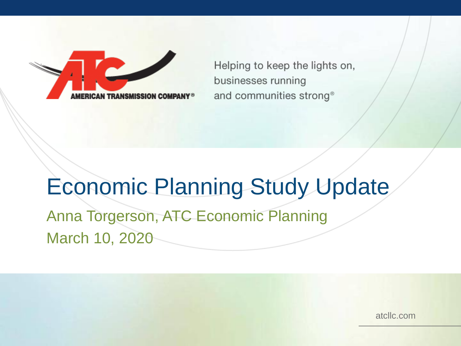Helping to keep the lights on, businesses running and communities strong<sup>®</sup>

# Economic Planning Study Update

Anna Torgerson, ATC Economic Planning March 10, 2020

atcllc.com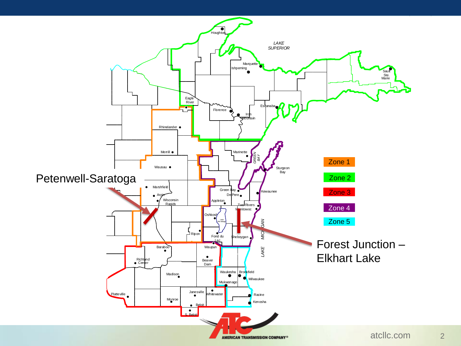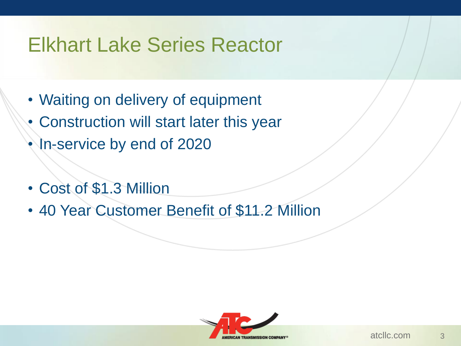### Elkhart Lake Series Reactor

- Waiting on delivery of equipment
- Construction will start later this year
- In-service by end of 2020
- Cost of \$1.3 Million
- 40 Year Customer Benefit of \$11.2 Million

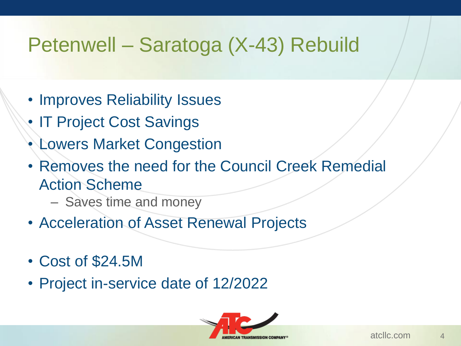### Petenwell – Saratoga (X-43) Rebuild

- Improves Reliability Issues
- IT Project Cost Savings
- Lowers Market Congestion
- Removes the need for the Council Creek Remedial Action Scheme
	- Saves time and money
- Acceleration of Asset Renewal Projects
- Cost of \$24.5M
- Project in-service date of 12/2022

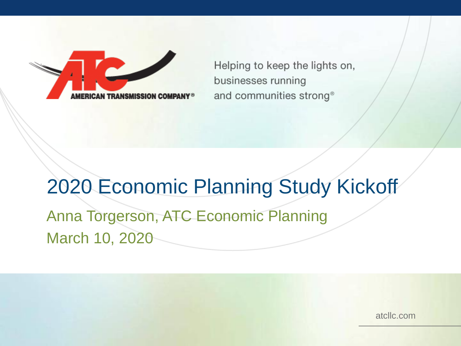Helping to keep the lights on, businesses running and communities strong<sup>®</sup>

## 2020 Economic Planning Study Kickoff Anna Torgerson, ATC Economic Planning March 10, 2020

atcllc.com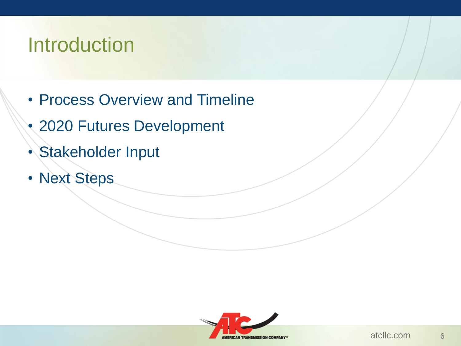### Introduction

- Process Overview and Timeline
- 2020 Futures Development
- Stakeholder Input
- Next Steps

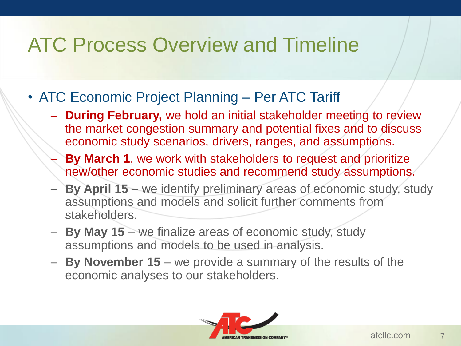### ATC Process Overview and Timeline

- ATC Economic Project Planning Per ATC Tariff
	- **During February,** we hold an initial stakeholder meeting to review the market congestion summary and potential fixes and to discuss economic study scenarios, drivers, ranges, and assumptions.
	- **By March 1**, we work with stakeholders to request and prioritize new/other economic studies and recommend study assumptions.
	- **By April 15**  we identify preliminary areas of economic study, study assumptions and models and solicit further comments from stakeholders.
	- **By May 15**  we finalize areas of economic study, study assumptions and models to be used in analysis.
	- **By November 15**  we provide a summary of the results of the economic analyses to our stakeholders.

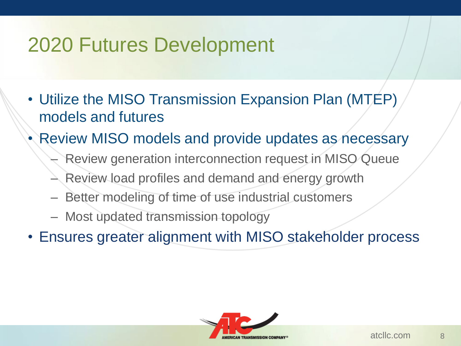### 2020 Futures Development

- Utilize the MISO Transmission Expansion Plan (MTEP) models and futures
- Review MISO models and provide updates as necessary
	- Review generation interconnection request in MISO Queue
	- Review load profiles and demand and energy growth
	- Better modeling of time of use industrial customers
	- Most updated transmission topology
- Ensures greater alignment with MISO stakeholder process

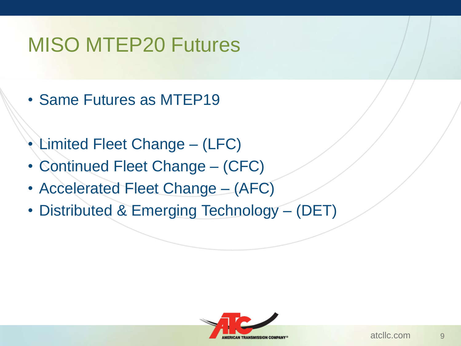## MISO MTEP20 Futures

- Same Futures as MTEP19
- Limited Fleet Change (LFC)
- Continued Fleet Change (CFC)
- Accelerated Fleet Change (AFC)
- Distributed & Emerging Technology (DET)

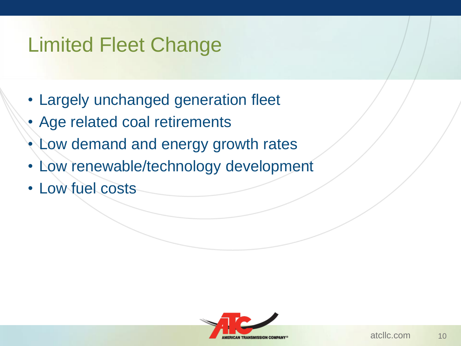## Limited Fleet Change

- Largely unchanged generation fleet
- Age related coal retirements
- Low demand and energy growth rates
- Low renewable/technology development
- Low fuel costs

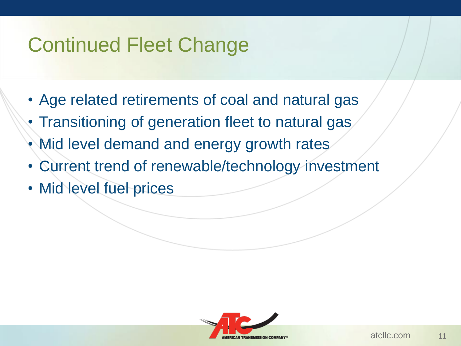## Continued Fleet Change

- Age related retirements of coal and natural gas
- Transitioning of generation fleet to natural gas
- Mid level demand and energy growth rates
- Current trend of renewable/technology investment
- Mid level fuel prices

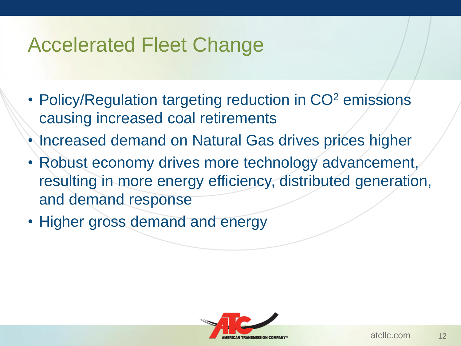### Accelerated Fleet Change

- Policy/Regulation targeting reduction in CO<sup>2</sup> emissions causing increased coal retirements
- Increased demand on Natural Gas drives prices higher
- Robust economy drives more technology advancement, resulting in more energy efficiency, distributed generation, and demand response
- Higher gross demand and energy

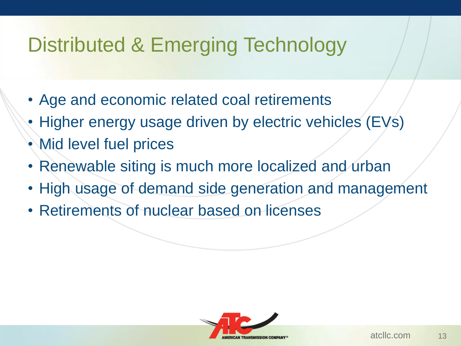## Distributed & Emerging Technology

- Age and economic related coal retirements
- Higher energy usage driven by electric vehicles (EVs)
- Mid level fuel prices
- Renewable siting is much more localized and urban
- High usage of demand side generation and management
- Retirements of nuclear based on licenses

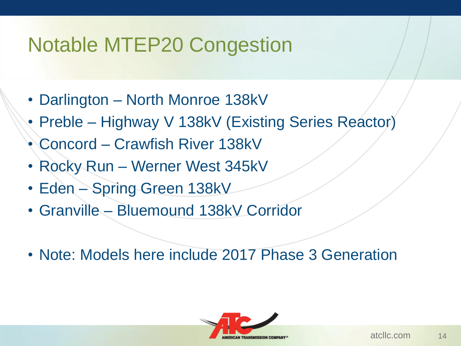### Notable MTEP20 Congestion

- Darlington North Monroe 138kV
- Preble Highway V 138kV (Existing Series Reactor)
- Concord Crawfish River 138kV
- Rocky Run Werner West 345kV
- Eden Spring Green 138kV
- Granville Bluemound 138kV Corridor
- Note: Models here include 2017 Phase 3 Generation

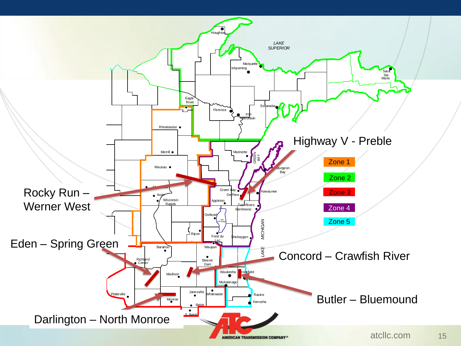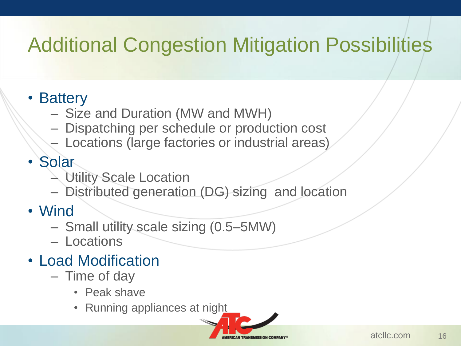## Additional Congestion Mitigation Possibilities

### • Battery

- Size and Duration (MW and MWH)
- Dispatching per schedule or production cost
- Locations (large factories or industrial areas)

### • Solar

- Utility Scale Location
- Distributed generation (DG) sizing and location
- Wind
	- Small utility scale sizing (0.5–5MW)
	- Locations
- Load Modification
	- Time of day
		- Peak shave
		- Running appliances at night

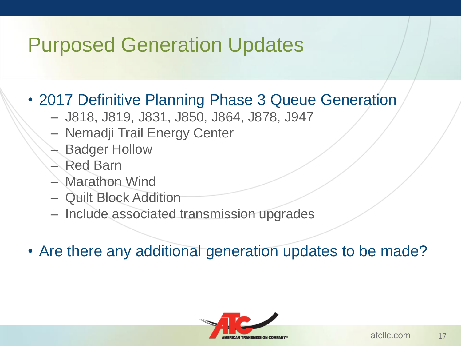## Purposed Generation Updates

### • 2017 Definitive Planning Phase 3 Queue Generation

- J818, J819, J831, J850, J864, J878, J947
- Nemadji Trail Energy Center
- Badger Hollow
- Red Barn
- Marathon Wind
- Quilt Block Addition
- Include associated transmission upgrades
- Are there any additional generation updates to be made?

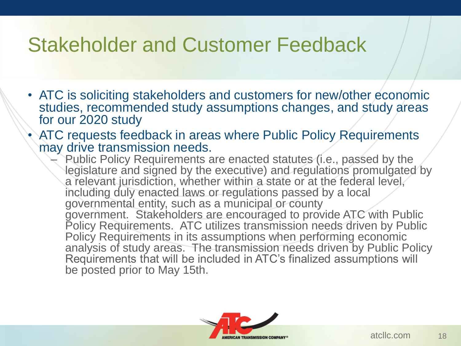### Stakeholder and Customer Feedback

- ATC is soliciting stakeholders and customers for new/other economic studies, recommended study assumptions changes, and study areas for our 2020 study
- ATC requests feedback in areas where Public Policy Requirements may drive transmission needs.
	- Public Policy Requirements are enacted statutes (i.e., passed by the legislature and signed by the executive) and regulations promulgated by a relevant jurisdiction, whether within a state or at the federal level, including duly enacted laws or regulations passed by a local governmental entity, such as a municipal or county government. Stakeholders are encouraged to provide ATC with Public Policy Requirements. ATC utilizes transmission needs driven by Public Policy Requirements in its assumptions when performing economic analysis of study areas. The transmission needs driven by Public Policy Requirements that will be included in ATC's finalized assumptions will be posted prior to May 15th.

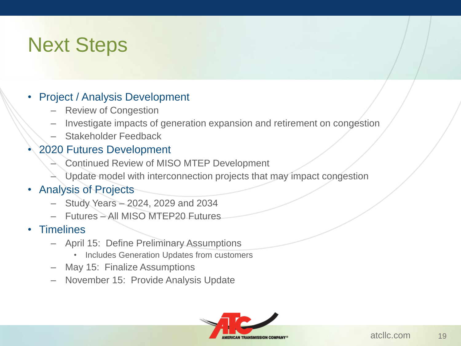### Next Steps

#### • Project / Analysis Development

- Review of Congestion
- Investigate impacts of generation expansion and retirement on congestion
- Stakeholder Feedback

#### • 2020 Futures Development

- Continued Review of MISO MTEP Development
- Update model with interconnection projects that may impact congestion

### • Analysis of Projects

- Study Years 2024, 2029 and 2034
- Futures All MISO MTEP20 Futures

#### • Timelines

- April 15: Define Preliminary Assumptions
	- Includes Generation Updates from customers
- May 15: Finalize Assumptions
- November 15: Provide Analysis Update

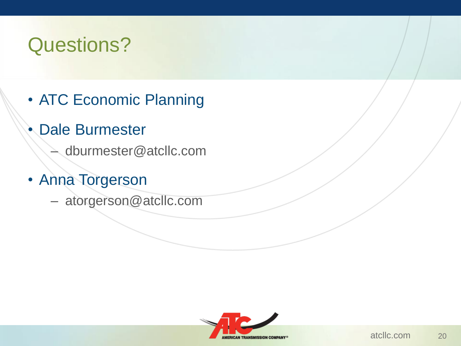## Questions?

- ATC Economic Planning
- Dale Burmester
	- dburmester@atcllc.com
- Anna Torgerson
	- atorgerson@atcllc.com